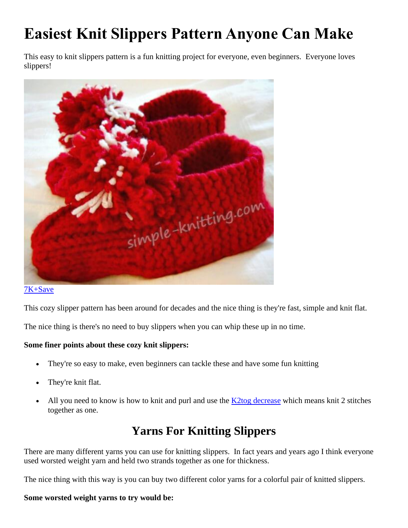# **Easiest Knit Slippers Pattern Anyone Can Make**

This easy to knit slippers pattern is a fun knitting project for everyone, even beginners. Everyone loves slippers!



### [7K+Save](https://www.pinterest.com/pin/create/button/?guid=hb7Kt0x9Awe0-1&url=https%3A%2F%2Fwww.simple-knitting.com%2Fknit-slippers.html&media=https%3A%2F%2Fwww.simple-knitting.com%2Fimages%2FknitslippersA1.jpg&description=Learn%20how%20to%20knit%20slippers%20with%20this%20very%20old%20knitting%20pattern.%20These%20are%20the%20coziest%20slippers%20too%20and%20once%20you%20make%20one%20pair%20you)

This cozy slipper pattern has been around for decades and the nice thing is they're fast, simple and knit flat.

The nice thing is there's no need to buy slippers when you can whip these up in no time.

#### **Some finer points about these cozy knit slippers:**

- They're so easy to make, even beginners can tackle these and have some fun knitting
- They're knit flat.
- All you need to know is how to knit and purl and use the  $K2$ tog decrease which means knit 2 stitches together as one.

### **Yarns For Knitting Slippers**

There are many different yarns you can use for knitting slippers. In fact years and years ago I think everyone used worsted weight yarn and held two strands together as one for thickness.

The nice thing with this way is you can buy two different color yarns for a colorful pair of knitted slippers.

#### **Some worsted weight yarns to try would be:**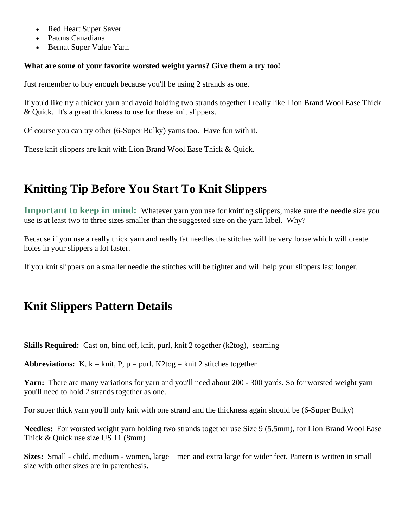- Red Heart Super Saver
- Patons Canadiana
- Bernat Super Value Yarn

#### **What are some of your favorite worsted weight yarns? Give them a try too!**

Just remember to buy enough because you'll be using 2 strands as one.

If you'd like try a thicker yarn and avoid holding two strands together I really like Lion Brand Wool Ease Thick & Quick. It's a great thickness to use for these knit slippers.

Of course you can try other (6-Super Bulky) yarns too. Have fun with it.

These knit slippers are knit with Lion Brand Wool Ease Thick & Quick.

## **Knitting Tip Before You Start To Knit Slippers**

**Important to keep in mind:** Whatever yarn you use for knitting slippers, make sure the needle size you use is at least two to three sizes smaller than the suggested size on the yarn label. Why?

Because if you use a really thick yarn and really fat needles the stitches will be very loose which will create holes in your slippers a lot faster.

If you knit slippers on a smaller needle the stitches will be tighter and will help your slippers last longer.

## **Knit Slippers Pattern Details**

**Skills Required:** Cast on, bind off, knit, purl, knit 2 together (k2tog), seaming

**Abbreviations:** K,  $k = \text{knit}$ , P,  $p = \text{purl}$ , K2tog = knit 2 stitches together

**Yarn:** There are many variations for yarn and you'll need about 200 - 300 yards. So for worsted weight yarn you'll need to hold 2 strands together as one.

For super thick yarn you'll only knit with one strand and the thickness again should be (6-Super Bulky)

**Needles:** For worsted weight yarn holding two strands together use Size 9 (5.5mm), for Lion Brand Wool Ease Thick & Quick use size US 11 (8mm)

**Sizes:** Small - child, medium - women, large – men and extra large for wider feet. Pattern is written in small size with other sizes are in parenthesis.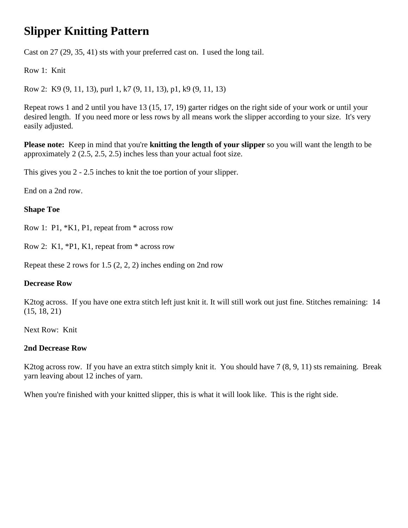# **Slipper Knitting Pattern**

Cast on 27 (29, 35, 41) sts with your preferred cast on. I used the long tail.

Row 1: Knit

Row 2: K9 (9, 11, 13), purl 1, k7 (9, 11, 13), p1, k9 (9, 11, 13)

Repeat rows 1 and 2 until you have 13 (15, 17, 19) garter ridges on the right side of your work or until your desired length. If you need more or less rows by all means work the slipper according to your size. It's very easily adjusted.

**Please note:** Keep in mind that you're **knitting the length of your slipper** so you will want the length to be approximately 2 (2.5, 2.5, 2.5) inches less than your actual foot size.

This gives you 2 - 2.5 inches to knit the toe portion of your slipper.

End on a 2nd row.

### **Shape Toe**

Row 1: P1, \*K1, P1, repeat from \* across row

Row 2: K1, \*P1, K1, repeat from \* across row

Repeat these 2 rows for 1.5 (2, 2, 2) inches ending on 2nd row

#### **Decrease Row**

K2tog across. If you have one extra stitch left just knit it. It will still work out just fine. Stitches remaining: 14 (15, 18, 21)

Next Row: Knit

### **2nd Decrease Row**

K2tog across row. If you have an extra stitch simply knit it. You should have 7 (8, 9, 11) sts remaining. Break yarn leaving about 12 inches of yarn.

When you're finished with your knitted slipper, this is what it will look like. This is the right side.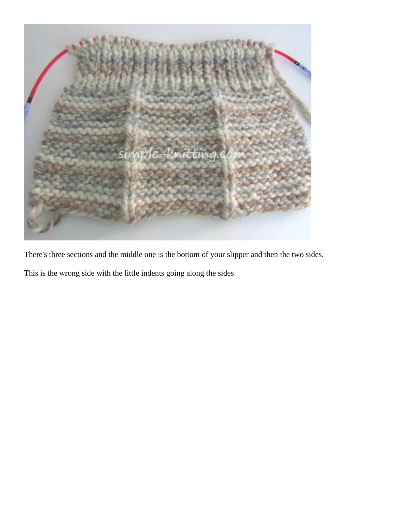

There's three sections and the middle one is the bottom of your slipper and then the two sides.

This is the wrong side with the little indents going along the sides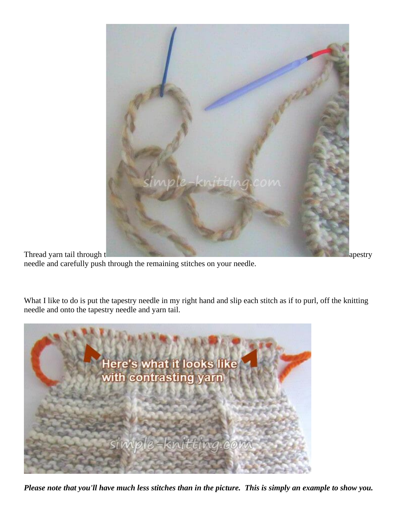

Thread yarn tail through t apestry approximately approximately approximately approximately approximately approximately approximately approximately approximately approximately approximately approximately approximately appro needle and carefully push through the remaining stitches on your needle.

What I like to do is put the tapestry needle in my right hand and slip each stitch as if to purl, off the knitting needle and onto the tapestry needle and yarn tail.



*Please note that you'll have much less stitches than in the picture. This is simply an example to show you.*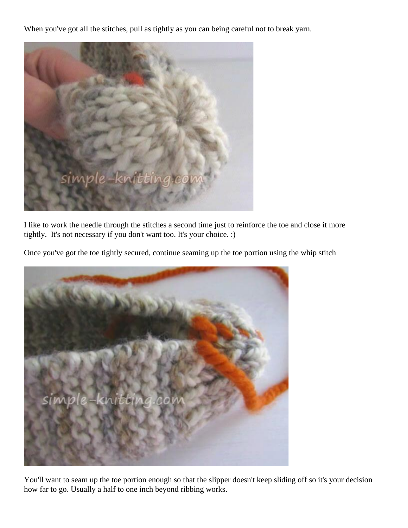When you've got all the stitches, pull as tightly as you can being careful not to break yarn.



I like to work the needle through the stitches a second time just to reinforce the toe and close it more tightly. It's not necessary if you don't want too. It's your choice. :)

Once you've got the toe tightly secured, continue seaming up the toe portion using the whip stitch



You'll want to seam up the toe portion enough so that the slipper doesn't keep sliding off so it's your decision how far to go. Usually a half to one inch beyond ribbing works.